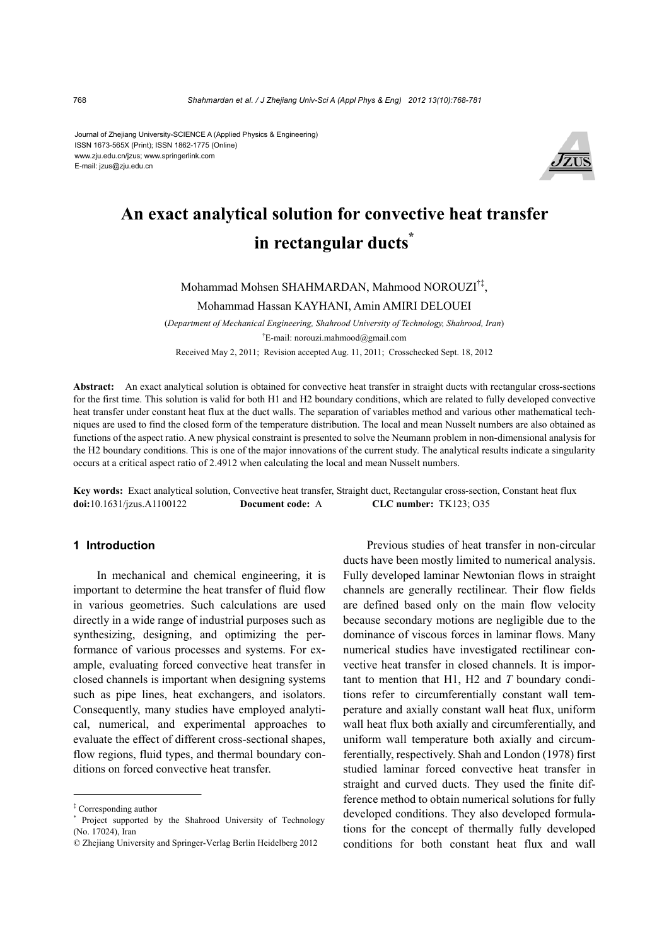Journal of Zhejiang University-SCIENCE A (Applied Physics & Engineering) ISSN 1673-565X (Print); ISSN 1862-1775 (Online) www.zju.edu.cn/jzus; www.springerlink.com E-mail: jzus@zju.edu.cn



# **An exact analytical solution for convective heat transfer in rectangular ducts\***

Mohammad Mohsen SHAHMARDAN, Mahmood NOROUZI†‡,

Mohammad Hassan KAYHANI, Amin AMIRI DELOUEI

(*Department of Mechanical Engineering, Shahrood University of Technology, Shahrood, Iran*) † E-mail: norouzi.mahmood@gmail.com Received May 2, 2011; Revision accepted Aug. 11, 2011; Crosschecked Sept. 18, 2012

**Abstract:** An exact analytical solution is obtained for convective heat transfer in straight ducts with rectangular cross-sections for the first time. This solution is valid for both H1 and H2 boundary conditions, which are related to fully developed convective heat transfer under constant heat flux at the duct walls. The separation of variables method and various other mathematical techniques are used to find the closed form of the temperature distribution. The local and mean Nusselt numbers are also obtained as functions of the aspect ratio. A new physical constraint is presented to solve the Neumann problem in non-dimensional analysis for the H2 boundary conditions. This is one of the major innovations of the current study. The analytical results indicate a singularity occurs at a critical aspect ratio of 2.4912 when calculating the local and mean Nusselt numbers.

**Key words:** Exact analytical solution, Convective heat transfer, Straight duct, Rectangular cross-section, Constant heat flux **doi:**10.1631/jzus.A1100122 **Document code:** A **CLC number:** TK123; O35

## **1 Introduction**

In mechanical and chemical engineering, it is important to determine the heat transfer of fluid flow in various geometries. Such calculations are used directly in a wide range of industrial purposes such as synthesizing, designing, and optimizing the performance of various processes and systems. For example, evaluating forced convective heat transfer in closed channels is important when designing systems such as pipe lines, heat exchangers, and isolators. Consequently, many studies have employed analytical, numerical, and experimental approaches to evaluate the effect of different cross-sectional shapes, flow regions, fluid types, and thermal boundary conditions on forced convective heat transfer.

Previous studies of heat transfer in non-circular ducts have been mostly limited to numerical analysis. Fully developed laminar Newtonian flows in straight channels are generally rectilinear. Their flow fields are defined based only on the main flow velocity because secondary motions are negligible due to the dominance of viscous forces in laminar flows. Many numerical studies have investigated rectilinear convective heat transfer in closed channels. It is important to mention that H1, H2 and *T* boundary conditions refer to circumferentially constant wall temperature and axially constant wall heat flux, uniform wall heat flux both axially and circumferentially, and uniform wall temperature both axially and circumferentially, respectively. Shah and London (1978) first studied laminar forced convective heat transfer in straight and curved ducts. They used the finite difference method to obtain numerical solutions for fully developed conditions. They also developed formulations for the concept of thermally fully developed conditions for both constant heat flux and wall

<sup>‡</sup> Corresponding author

<sup>\*</sup> Project supported by the Shahrood University of Technology (No. 17024), Iran

<sup>©</sup> Zhejiang University and Springer-Verlag Berlin Heidelberg 2012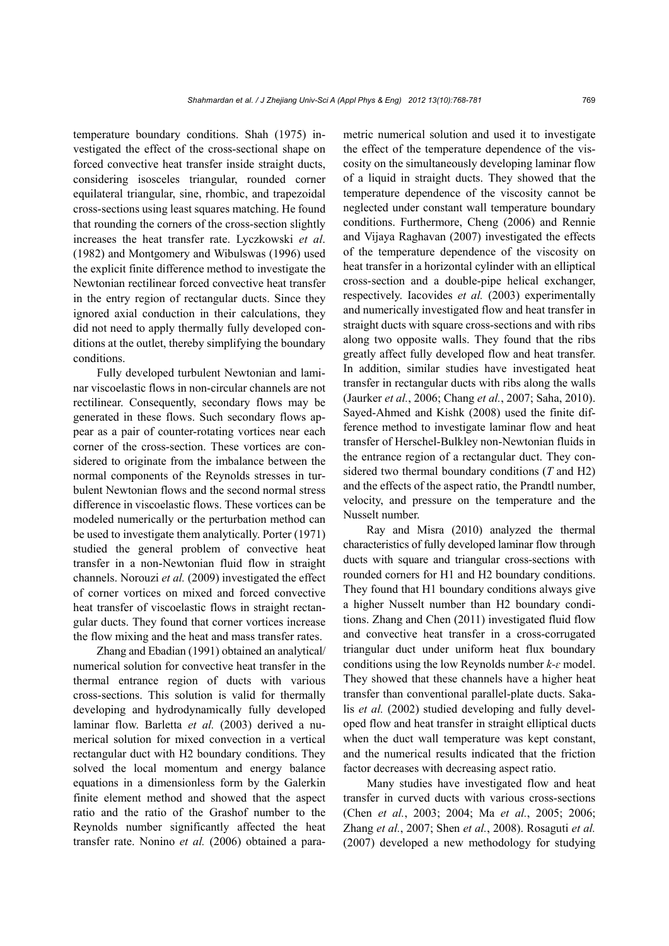temperature boundary conditions. Shah (1975) investigated the effect of the cross-sectional shape on forced convective heat transfer inside straight ducts, considering isosceles triangular, rounded corner equilateral triangular, sine, rhombic, and trapezoidal cross-sections using least squares matching. He found that rounding the corners of the cross-section slightly increases the heat transfer rate. Lyczkowski *et al*. (1982) and Montgomery and Wibulswas (1996) used the explicit finite difference method to investigate the Newtonian rectilinear forced convective heat transfer in the entry region of rectangular ducts. Since they ignored axial conduction in their calculations, they did not need to apply thermally fully developed conditions at the outlet, thereby simplifying the boundary conditions.

Fully developed turbulent Newtonian and laminar viscoelastic flows in non-circular channels are not rectilinear. Consequently, secondary flows may be generated in these flows. Such secondary flows appear as a pair of counter-rotating vortices near each corner of the cross-section. These vortices are considered to originate from the imbalance between the normal components of the Reynolds stresses in turbulent Newtonian flows and the second normal stress difference in viscoelastic flows. These vortices can be modeled numerically or the perturbation method can be used to investigate them analytically. Porter (1971) studied the general problem of convective heat transfer in a non-Newtonian fluid flow in straight channels. Norouzi *et al.* (2009) investigated the effect of corner vortices on mixed and forced convective heat transfer of viscoelastic flows in straight rectangular ducts. They found that corner vortices increase the flow mixing and the heat and mass transfer rates.

Zhang and Ebadian (1991) obtained an analytical/ numerical solution for convective heat transfer in the thermal entrance region of ducts with various cross-sections. This solution is valid for thermally developing and hydrodynamically fully developed laminar flow. Barletta *et al.* (2003) derived a numerical solution for mixed convection in a vertical rectangular duct with H2 boundary conditions. They solved the local momentum and energy balance equations in a dimensionless form by the Galerkin finite element method and showed that the aspect ratio and the ratio of the Grashof number to the Reynolds number significantly affected the heat transfer rate. Nonino *et al.* (2006) obtained a parametric numerical solution and used it to investigate the effect of the temperature dependence of the viscosity on the simultaneously developing laminar flow of a liquid in straight ducts. They showed that the temperature dependence of the viscosity cannot be neglected under constant wall temperature boundary conditions. Furthermore, Cheng (2006) and Rennie and Vijaya Raghavan (2007) investigated the effects of the temperature dependence of the viscosity on heat transfer in a horizontal cylinder with an elliptical cross-section and a double-pipe helical exchanger, respectively. Iacovides *et al.* (2003) experimentally and numerically investigated flow and heat transfer in straight ducts with square cross-sections and with ribs along two opposite walls. They found that the ribs greatly affect fully developed flow and heat transfer. In addition, similar studies have investigated heat transfer in rectangular ducts with ribs along the walls (Jaurker *et al.*, 2006; Chang *et al.*, 2007; Saha, 2010). Sayed-Ahmed and Kishk (2008) used the finite difference method to investigate laminar flow and heat transfer of Herschel-Bulkley non-Newtonian fluids in the entrance region of a rectangular duct. They considered two thermal boundary conditions (*T* and H2) and the effects of the aspect ratio, the Prandtl number, velocity, and pressure on the temperature and the Nusselt number.

Ray and Misra (2010) analyzed the thermal characteristics of fully developed laminar flow through ducts with square and triangular cross-sections with rounded corners for H1 and H2 boundary conditions. They found that H1 boundary conditions always give a higher Nusselt number than H2 boundary conditions. Zhang and Chen (2011) investigated fluid flow and convective heat transfer in a cross-corrugated triangular duct under uniform heat flux boundary conditions using the low Reynolds number *k-ɛ* model. They showed that these channels have a higher heat transfer than conventional parallel-plate ducts. Sakalis *et al.* (2002) studied developing and fully developed flow and heat transfer in straight elliptical ducts when the duct wall temperature was kept constant, and the numerical results indicated that the friction factor decreases with decreasing aspect ratio.

Many studies have investigated flow and heat transfer in curved ducts with various cross-sections (Chen *et al.*, 2003; 2004; Ma *et al.*, 2005; 2006; Zhang *et al.*, 2007; Shen *et al.*, 2008). Rosaguti *et al.* (2007) developed a new methodology for studying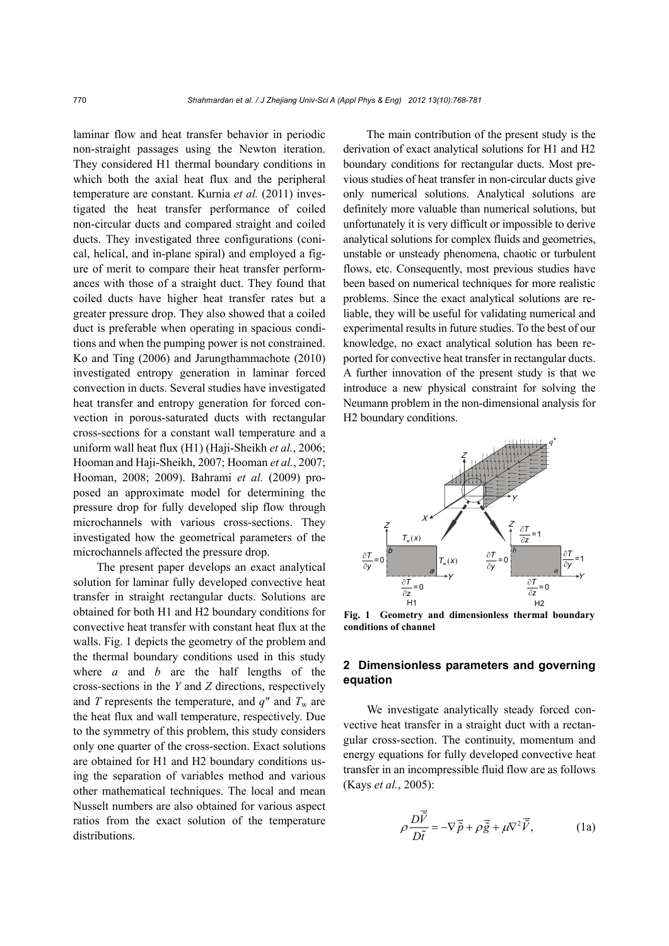laminar flow and heat transfer behavior in periodic non-straight passages using the Newton iteration. They considered H1 thermal boundary conditions in which both the axial heat flux and the peripheral temperature are constant. Kurnia *et al.* (2011) investigated the heat transfer performance of coiled non-circular ducts and compared straight and coiled ducts. They investigated three configurations (conical, helical, and in-plane spiral) and employed a figure of merit to compare their heat transfer performances with those of a straight duct. They found that coiled ducts have higher heat transfer rates but a greater pressure drop. They also showed that a coiled duct is preferable when operating in spacious conditions and when the pumping power is not constrained. Ko and Ting (2006) and Jarungthammachote (2010) investigated entropy generation in laminar forced convection in ducts. Several studies have investigated heat transfer and entropy generation for forced convection in porous-saturated ducts with rectangular cross-sections for a constant wall temperature and a uniform wall heat flux (H1) (Haji-Sheikh *et al.*, 2006; Hooman and Haji-Sheikh, 2007; Hooman *et al.*, 2007; Hooman, 2008; 2009). Bahrami *et al.* (2009) proposed an approximate model for determining the pressure drop for fully developed slip flow through microchannels with various cross-sections. They investigated how the geometrical parameters of the microchannels affected the pressure drop.

The present paper develops an exact analytical solution for laminar fully developed convective heat transfer in straight rectangular ducts. Solutions are obtained for both H1 and H2 boundary conditions for convective heat transfer with constant heat flux at the walls. Fig. 1 depicts the geometry of the problem and the thermal boundary conditions used in this study where *a* and *b* are the half lengths of the cross-sections in the *Y* and *Z* directions, respectively and *T* represents the temperature, and  $q''$  and  $T_w$  are the heat flux and wall temperature, respectively. Due to the symmetry of this problem, this study considers only one quarter of the cross-section. Exact solutions are obtained for H1 and H2 boundary conditions using the separation of variables method and various other mathematical techniques. The local and mean Nusselt numbers are also obtained for various aspect ratios from the exact solution of the temperature distributions.

The main contribution of the present study is the derivation of exact analytical solutions for H1 and H2 boundary conditions for rectangular ducts. Most previous studies of heat transfer in non-circular ducts give only numerical solutions. Analytical solutions are definitely more valuable than numerical solutions, but unfortunately it is very difficult or impossible to derive analytical solutions for complex fluids and geometries, unstable or unsteady phenomena, chaotic or turbulent flows, etc. Consequently, most previous studies have been based on numerical techniques for more realistic problems. Since the exact analytical solutions are reliable, they will be useful for validating numerical and experimental results in future studies. To the best of our knowledge, no exact analytical solution has been reported for convective heat transfer in rectangular ducts. A further innovation of the present study is that we introduce a new physical constraint for solving the Neumann problem in the non-dimensional analysis for H2 boundary conditions.



**Fig. 1 Geometry and dimensionless thermal boundary conditions of channel**

## **2 Dimensionless parameters and governing equation**

We investigate analytically steady forced convective heat transfer in a straight duct with a rectangular cross-section. The continuity, momentum and energy equations for fully developed convective heat transfer in an incompressible fluid flow are as follows (Kays *et al.*, 2005):

$$
\rho \frac{D\vec{\tilde{V}}}{D\tilde{t}} = -\nabla \vec{\tilde{p}} + \rho \vec{\tilde{g}} + \mu \nabla^2 \vec{\tilde{V}},
$$
 (1a)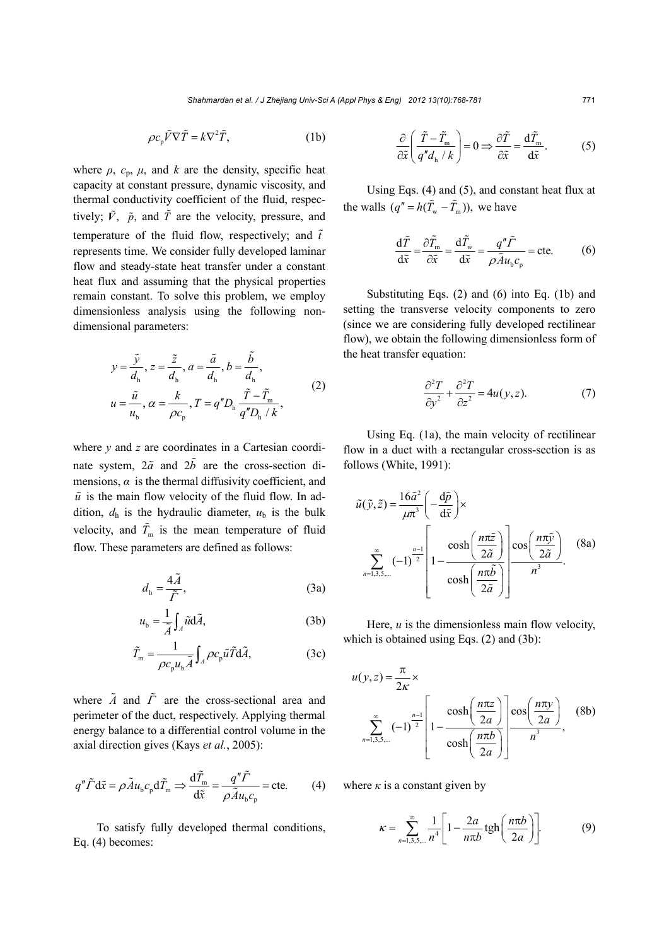$$
\rho c_{\rm p} \tilde{V} \nabla \tilde{T} = k \nabla^2 \tilde{T}, \qquad (1b)
$$

where  $\rho$ ,  $c_p$ ,  $\mu$ , and *k* are the density, specific heat capacity at constant pressure, dynamic viscosity, and thermal conductivity coefficient of the fluid, respectively;  $\tilde{V}$ ,  $\tilde{p}$ , and  $\tilde{T}$  are the velocity, pressure, and temperature of the fluid flow, respectively; and  $\tilde{t}$ represents time. We consider fully developed laminar flow and steady-state heat transfer under a constant heat flux and assuming that the physical properties remain constant. To solve this problem, we employ dimensionless analysis using the following nondimensional parameters:

$$
y = \frac{\tilde{y}}{d_h}, z = \frac{\tilde{z}}{d_h}, a = \frac{\tilde{a}}{d_h}, b = \frac{\tilde{b}}{d_h},
$$
  

$$
u = \frac{\tilde{u}}{u_b}, \alpha = \frac{k}{\rho c_p}, T = q''D_h \frac{\tilde{T} - \tilde{T}_m}{q''D_h / k},
$$
 (2)

where *y* and *z* are coordinates in a Cartesian coordinate system,  $2\tilde{a}$  and  $2\tilde{b}$  are the cross-section dimensions,  $\alpha$  is the thermal diffusivity coefficient, and  $\tilde{u}$  is the main flow velocity of the fluid flow. In addition,  $d_h$  is the hydraulic diameter,  $u_b$  is the bulk velocity, and  $\tilde{T}_{\text{m}}$  is the mean temperature of fluid flow. These parameters are defined as follows:

$$
d_{\rm h} = \frac{4\tilde{A}}{\tilde{\Gamma}},\tag{3a}
$$

$$
u_{b} = \frac{1}{\tilde{A}} \int_{A} \tilde{u} d\tilde{A},
$$
 (3b)

$$
\tilde{T}_{\rm m} = \frac{1}{\rho c_{\rm p} u_{\rm b} \tilde{A}} \int_A \rho c_{\rm p} \tilde{u} \tilde{T} d\tilde{A},\tag{3c}
$$

where  $\tilde{A}$  and  $\tilde{T}$  are the cross-sectional area and perimeter of the duct, respectively. Applying thermal energy balance to a differential control volume in the axial direction gives (Kays *et al.*, 2005):

$$
q''\tilde{\Gamma}\,d\tilde{x} = \rho \tilde{A}u_{b}c_{p}d\tilde{T}_{m} \Rightarrow \frac{d\tilde{T}_{m}}{d\tilde{x}} = \frac{q''\tilde{\Gamma}}{\rho \tilde{A}u_{b}c_{p}} = \text{cte.}
$$
 (4)

To satisfy fully developed thermal conditions, Eq. (4) becomes:

$$
\frac{\partial}{\partial \tilde{x}} \left( \frac{\tilde{T} - \tilde{T}_{\text{m}}}{q'' d_{\text{h}} / k} \right) = 0 \Longrightarrow \frac{\partial \tilde{T}}{\partial \tilde{x}} = \frac{\mathrm{d} \tilde{T}_{\text{m}}}{\mathrm{d} \tilde{x}}. \tag{5}
$$

Using Eqs. (4) and (5), and constant heat flux at the walls  $(q'' = h(\tilde{T}_{w} - \tilde{T}_{m}))$ , we have

$$
\frac{\mathrm{d}\tilde{T}}{\mathrm{d}\tilde{x}} = \frac{\partial \tilde{T}_{\rm m}}{\partial \tilde{x}} = \frac{\mathrm{d}\tilde{T}_{\rm w}}{\mathrm{d}\tilde{x}} = \frac{q''\tilde{\Gamma}}{\rho \tilde{A}u_{\rm b}c_{\rm p}} = \text{cte.}
$$
 (6)

Substituting Eqs. (2) and (6) into Eq. (1b) and setting the transverse velocity components to zero (since we are considering fully developed rectilinear flow), we obtain the following dimensionless form of the heat transfer equation:

$$
\frac{\partial^2 T}{\partial y^2} + \frac{\partial^2 T}{\partial z^2} = 4u(y, z). \tag{7}
$$

Using Eq. (1a), the main velocity of rectilinear flow in a duct with a rectangular cross-section is as follows (White, 1991):

$$
\tilde{u}(\tilde{y}, \tilde{z}) = \frac{16\tilde{a}^2}{\mu \pi^3} \left( -\frac{d\tilde{p}}{d\tilde{x}} \right) \times
$$
\n
$$
\sum_{n=1,3,5,...}^{\infty} (-1)^{\frac{n-1}{2}} \left[ 1 - \frac{\cosh\left(\frac{n\pi \tilde{z}}{2\tilde{a}}\right)}{\cosh\left(\frac{n\pi \tilde{b}}{2\tilde{a}}\right)} \right] \frac{\cos\left(\frac{n\pi \tilde{y}}{2\tilde{a}}\right)}{n^3}.
$$
\n(8a)

Here,  $u$  is the dimensionless main flow velocity, which is obtained using Eqs. (2) and (3b):

$$
u(y, z) = \frac{\pi}{2\kappa} \times \sum_{n=1,3,5,\dots}^{\infty} (-1)^{\frac{n-1}{2}} \left[ 1 - \frac{\cosh\left(\frac{n\pi z}{2a}\right)}{\cosh\left(\frac{n\pi b}{2a}\right)} \right] \frac{\cos\left(\frac{n\pi y}{2a}\right)}{n^3}, \quad (8b)
$$

where  $\kappa$  is a constant given by

$$
\kappa = \sum_{n=1,3,5,\dots}^{\infty} \frac{1}{n^4} \left[ 1 - \frac{2a}{n\pi b} \tanh\left(\frac{n\pi b}{2a}\right) \right].
$$
 (9)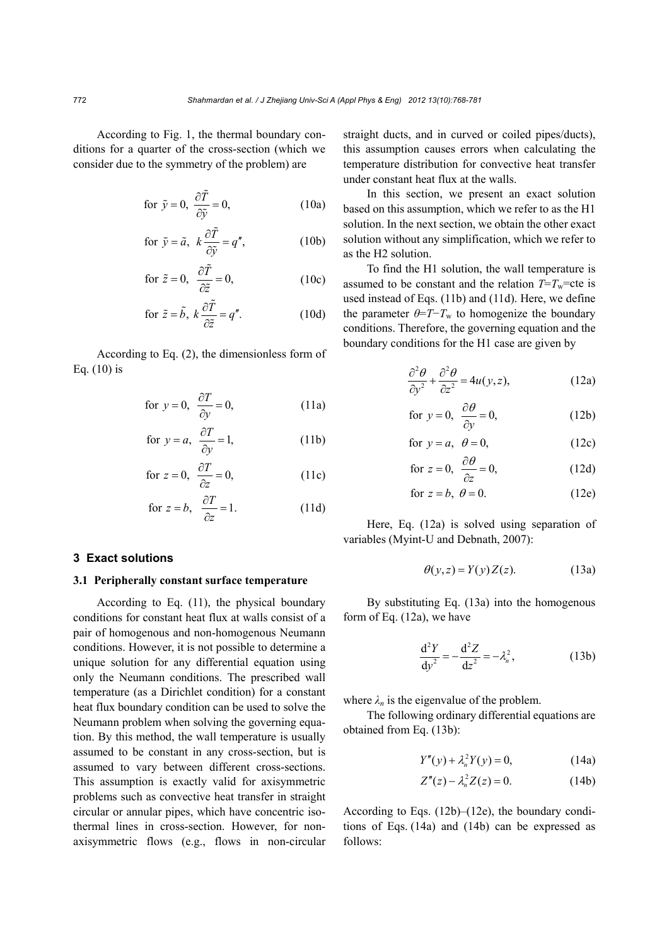According to Fig. 1, the thermal boundary conditions for a quarter of the cross-section (which we consider due to the symmetry of the problem) are

for 
$$
\tilde{y} = 0
$$
,  $\frac{\partial \tilde{T}}{\partial \tilde{y}} = 0$ , (10a)

for 
$$
\tilde{y} = \tilde{a}
$$
,  $k \frac{\partial \tilde{T}}{\partial \tilde{y}} = q''$ , (10b)

for 
$$
\tilde{z} = 0
$$
,  $\frac{\partial \tilde{T}}{\partial \tilde{z}} = 0$ , (10c)

for 
$$
\tilde{z} = \tilde{b}
$$
,  $k \frac{\partial \tilde{T}}{\partial \tilde{z}} = q''$ . (10d)

According to Eq. (2), the dimensionless form of Eq. (10) is

for 
$$
y = 0
$$
,  $\frac{\partial T}{\partial y} = 0$ , (11a)

for 
$$
y = a
$$
,  $\frac{\partial T}{\partial y} = 1$ , (11b)

for 
$$
z = 0
$$
,  $\frac{\partial T}{\partial z} = 0$ , (11c)

for 
$$
z = b
$$
,  $\frac{\partial T}{\partial z} = 1$ . (11d)

#### **3 Exact solutions**

#### **3.1 Peripherally constant surface temperature**

According to Eq. (11), the physical boundary conditions for constant heat flux at walls consist of a pair of homogenous and non-homogenous Neumann conditions. However, it is not possible to determine a unique solution for any differential equation using only the Neumann conditions. The prescribed wall temperature (as a Dirichlet condition) for a constant heat flux boundary condition can be used to solve the Neumann problem when solving the governing equation. By this method, the wall temperature is usually assumed to be constant in any cross-section, but is assumed to vary between different cross-sections. This assumption is exactly valid for axisymmetric problems such as convective heat transfer in straight circular or annular pipes, which have concentric isothermal lines in cross-section. However, for nonaxisymmetric flows (e.g., flows in non-circular

straight ducts, and in curved or coiled pipes/ducts), this assumption causes errors when calculating the temperature distribution for convective heat transfer under constant heat flux at the walls.

In this section, we present an exact solution based on this assumption, which we refer to as the H1 solution. In the next section, we obtain the other exact solution without any simplification, which we refer to as the H2 solution.

To find the H1 solution, the wall temperature is assumed to be constant and the relation  $T=T_w$ =cte is used instead of Eqs. (11b) and (11d). Here, we define the parameter  $\theta = T - T_w$  to homogenize the boundary conditions. Therefore, the governing equation and the boundary conditions for the H1 case are given by

$$
\frac{\partial^2 \theta}{\partial y^2} + \frac{\partial^2 \theta}{\partial z^2} = 4u(y, z),\tag{12a}
$$

for 
$$
y = 0
$$
,  $\frac{\partial \theta}{\partial y} = 0$ , (12b)

for 
$$
y = a
$$
,  $\theta = 0$ , (12c)

for 
$$
z = 0
$$
,  $\frac{\partial \theta}{\partial z} = 0$ , (12d)

for 
$$
z = b
$$
,  $\theta = 0$ . (12e)

Here, Eq. (12a) is solved using separation of variables (Myint-U and Debnath, 2007):

$$
\theta(y, z) = Y(y)Z(z). \tag{13a}
$$

By substituting Eq. (13a) into the homogenous form of Eq. (12a), we have

$$
\frac{d^2Y}{dy^2} = -\frac{d^2Z}{dz^2} = -\lambda_n^2,
$$
 (13b)

where  $\lambda_n$  is the eigenvalue of the problem.

The following ordinary differential equations are obtained from Eq. (13b):

$$
Y''(y) + \lambda_n^2 Y(y) = 0,
$$
 (14a)

$$
Z''(z) - \lambda_n^2 Z(z) = 0.
$$
 (14b)

According to Eqs.  $(12b)$ – $(12e)$ , the boundary conditions of Eqs. (14a) and (14b) can be expressed as follows: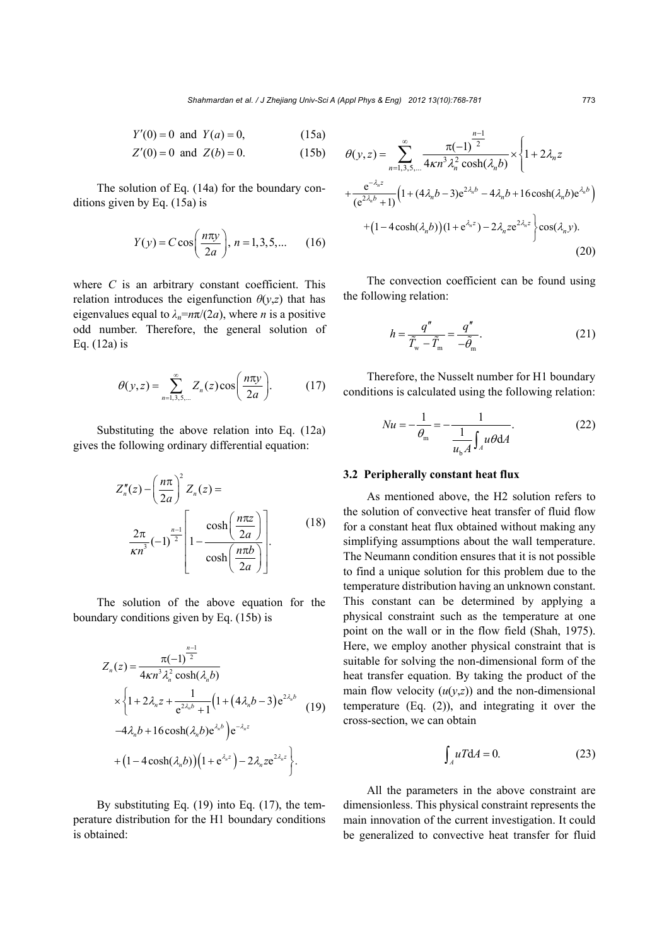$$
Y'(0) = 0 \text{ and } Y(a) = 0,
$$
 (15a)  

$$
Z'(0) = 0 \text{ and } Z(b) = 0
$$
 (15b)

$$
Z'(0) = 0 \text{ and } Z(b) = 0. \tag{15b}
$$

The solution of Eq. (14a) for the boundary conditions given by Eq. (15a) is

$$
Y(y) = C \cos\left(\frac{n\pi y}{2a}\right), n = 1, 3, 5, \dots \tag{16}
$$

where *C* is an arbitrary constant coefficient. This relation introduces the eigenfunction  $\theta(y,z)$  that has eigenvalues equal to  $\lambda_n = n\pi/(2a)$ , where *n* is a positive odd number. Therefore, the general solution of Eq. (12a) is

$$
\theta(y,z) = \sum_{n=1,3,5,\dots}^{\infty} Z_n(z) \cos\left(\frac{n\pi y}{2a}\right).
$$
 (17)

Substituting the above relation into Eq. (12a) gives the following ordinary differential equation:

$$
Z_n''(z) - \left(\frac{n\pi}{2a}\right)^2 Z_n(z) =
$$
  

$$
\frac{2\pi}{\kappa n^3} (-1)^{\frac{n-1}{2}} \left[1 - \frac{\cosh\left(\frac{n\pi z}{2a}\right)}{\cosh\left(\frac{n\pi b}{2a}\right)}\right].
$$
 (18)

The solution of the above equation for the boundary conditions given by Eq. (15b) is

$$
Z_n(z) = \frac{\pi(-1)^{\frac{n-1}{2}}}{4\kappa n^3 \lambda_n^2 \cosh(\lambda_n b)} \times \left\{ 1 + 2\lambda_n z + \frac{1}{e^{2\lambda_n b} + 1} \left( 1 + (4\lambda_n b - 3) e^{2\lambda_n b} \right) \right. \left. (19) \left. -4\lambda_n b + 16 \cosh(\lambda_n b) e^{\lambda_n b} \right) e^{-\lambda_n z} \n+ (1 - 4 \cosh(\lambda_n b)) \left( 1 + e^{\lambda_n z} \right) - 2\lambda_n z e^{2\lambda_n z} \right\}.
$$

By substituting Eq. (19) into Eq. (17), the temperature distribution for the H1 boundary conditions is obtained:

$$
\theta(y,z) = \sum_{n=1,3,5,...}^{\infty} \frac{\pi(-1)^{\frac{n-1}{2}}}{4\kappa n^3 \lambda_n^2 \cosh(\lambda_n b)} \times \left\{ 1 + 2\lambda_n z + \frac{e^{-\lambda_n z}}{(e^{2\lambda_n b} + 1)} \left( 1 + (4\lambda_n b - 3)e^{2\lambda_n b} - 4\lambda_n b + 16 \cosh(\lambda_n b)e^{\lambda_n b} \right) + (1 - 4 \cosh(\lambda_n b))(1 + e^{\lambda_n z}) - 2\lambda_n z e^{2\lambda_n z} \right\} \cos(\lambda_n y).
$$
\n(20)

The convection coefficient can be found using the following relation:

$$
h = \frac{q''}{\tilde{T}_{\rm w} - \tilde{T}_{\rm m}} = \frac{q''}{-\tilde{\theta}_{\rm m}}.\tag{21}
$$

Therefore, the Nusselt number for H1 boundary conditions is calculated using the following relation:

$$
Nu = -\frac{1}{\theta_{\text{m}}} = -\frac{1}{\frac{1}{u_{\text{b}}A} \int_{A} u\theta \, \text{d}A}.
$$
 (22)

#### **3.2 Peripherally constant heat flux**

As mentioned above, the H2 solution refers to the solution of convective heat transfer of fluid flow for a constant heat flux obtained without making any simplifying assumptions about the wall temperature. The Neumann condition ensures that it is not possible to find a unique solution for this problem due to the temperature distribution having an unknown constant. This constant can be determined by applying a physical constraint such as the temperature at one point on the wall or in the flow field (Shah, 1975). Here, we employ another physical constraint that is suitable for solving the non-dimensional form of the heat transfer equation. By taking the product of the main flow velocity  $(u(y,z))$  and the non-dimensional temperature (Eq. (2)), and integrating it over the cross-section, we can obtain

$$
\int_{A} uT dA = 0. \tag{23}
$$

All the parameters in the above constraint are dimensionless. This physical constraint represents the main innovation of the current investigation. It could be generalized to convective heat transfer for fluid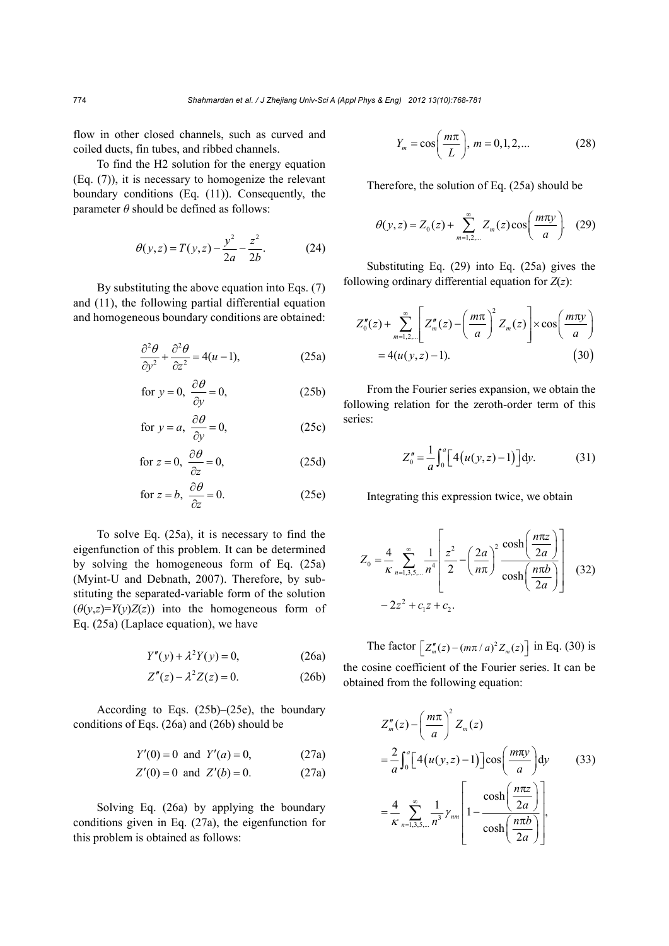flow in other closed channels, such as curved and coiled ducts, fin tubes, and ribbed channels.

To find the H2 solution for the energy equation (Eq. (7)), it is necessary to homogenize the relevant boundary conditions (Eq. (11)). Consequently, the parameter *θ* should be defined as follows:

$$
\theta(y, z) = T(y, z) - \frac{y^2}{2a} - \frac{z^2}{2b}.
$$
 (24)

By substituting the above equation into Eqs. (7) and (11), the following partial differential equation and homogeneous boundary conditions are obtained:

$$
\frac{\partial^2 \theta}{\partial y^2} + \frac{\partial^2 \theta}{\partial z^2} = 4(u-1),\tag{25a}
$$

for 
$$
y = 0
$$
,  $\frac{\partial \theta}{\partial y} = 0$ , (25b)

for 
$$
y = a
$$
,  $\frac{\partial \theta}{\partial y} = 0$ , (25c)

for 
$$
z = 0
$$
,  $\frac{\partial \theta}{\partial z} = 0$ , (25d)

for 
$$
z = b
$$
,  $\frac{\partial \theta}{\partial z} = 0$ . (25e)

To solve Eq. (25a), it is necessary to find the eigenfunction of this problem. It can be determined by solving the homogeneous form of Eq. (25a) (Myint-U and Debnath, 2007). Therefore, by substituting the separated-variable form of the solution  $(\theta(y,z)=Y(y)Z(z))$  into the homogeneous form of Eq. (25a) (Laplace equation), we have

$$
Y''(y) + \lambda^2 Y(y) = 0,
$$
 (26a)

$$
Z''(z) - \lambda^2 Z(z) = 0.
$$
 (26b)

According to Eqs. (25b)–(25e), the boundary conditions of Eqs. (26a) and (26b) should be

$$
Y'(0) = 0 \text{ and } Y'(a) = 0,
$$
 (27a)

$$
Z'(0) = 0 \text{ and } Z'(b) = 0. \tag{27a}
$$

Solving Eq. (26a) by applying the boundary conditions given in Eq. (27a), the eigenfunction for this problem is obtained as follows:

$$
Y_m = \cos\left(\frac{m\pi}{L}\right), \, m = 0, 1, 2, \dots \tag{28}
$$

Therefore, the solution of Eq. (25a) should be

$$
\theta(y, z) = Z_0(z) + \sum_{m=1,2,...}^{\infty} Z_m(z) \cos\left(\frac{m\pi y}{a}\right).
$$
 (29)

Substituting Eq. (29) into Eq. (25a) gives the following ordinary differential equation for *Z*(*z*):

$$
Z_0''(z) + \sum_{m=1,2,...}^{\infty} \left[ Z_m''(z) - \left( \frac{m\pi}{a} \right)^2 Z_m(z) \right] \times \cos\left( \frac{m\pi y}{a} \right)
$$
  
= 4(u(y, z) - 1). (30)

From the Fourier series expansion, we obtain the following relation for the zeroth-order term of this series:

$$
Z_0'' = \frac{1}{a} \int_0^a \Big[ 4(u(y, z) - 1) \Big] dy.
$$
 (31)

Integrating this expression twice, we obtain

$$
Z_0 = \frac{4}{\kappa} \sum_{n=1,3,5,\dots}^{\infty} \frac{1}{n^4} \left[ \frac{z^2}{2} - \left( \frac{2a}{n\pi} \right)^2 \frac{\cosh\left( \frac{n\pi z}{2a} \right)}{\cosh\left( \frac{n\pi b}{2a} \right)} \right]
$$
(32)  
-2z<sup>2</sup> + c<sub>1</sub>z + c<sub>2</sub>.

The factor  $\left[ Z_m''(z) - (m\pi / a)^2 Z_m(z) \right]$  in Eq. (30) is the cosine coefficient of the Fourier series. It can be obtained from the following equation:

$$
Z_{m}''(z) - \left(\frac{m\pi}{a}\right)^{2} Z_{m}(z)
$$
  
=  $\frac{2}{a} \int_{0}^{a} \left[4(u(y, z) - 1)\right] \cos\left(\frac{m\pi y}{a}\right) dy$  (33)  
=  $\frac{4}{\kappa} \sum_{n=1,3,5,...}^{\infty} \frac{1}{n^{3}} \gamma_{nm} \left[1 - \frac{\cosh\left(\frac{n\pi z}{2a}\right)}{\cosh\left(\frac{n\pi b}{2a}\right)}\right],$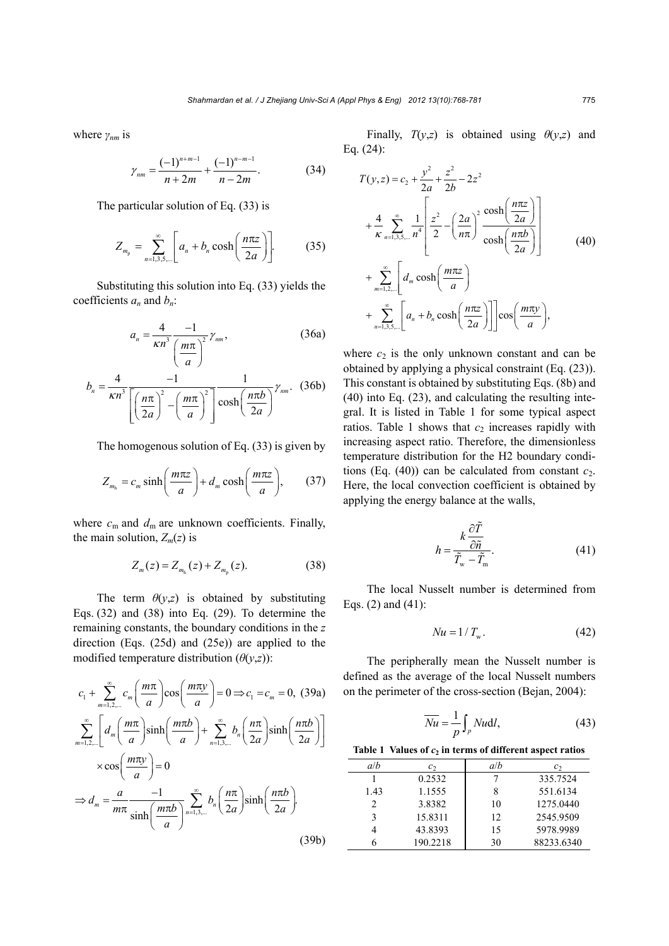where *γnm* is

$$
\gamma_{nm} = \frac{(-1)^{n+m-1}}{n+2m} + \frac{(-1)^{n-m-1}}{n-2m}.\tag{34}
$$

The particular solution of Eq. (33) is

$$
Z_{m_p} = \sum_{n=1,3,5,\dots}^{\infty} \left[ a_n + b_n \cosh\left(\frac{n\pi z}{2a}\right) \right].
$$
 (35)

Substituting this solution into Eq. (33) yields the coefficients  $a_n$  and  $b_n$ :

$$
a_n = \frac{4}{\kappa n^3} \frac{-1}{\left(\frac{m\pi}{a}\right)^2} \gamma_{nm},
$$
 (36a)

$$
b_n = \frac{4}{\kappa n^3} \frac{-1}{\left[ \left( \frac{n\pi}{2a} \right)^2 - \left( \frac{m\pi}{a} \right)^2 \right]} \frac{1}{\cosh \left( \frac{n\pi b}{2a} \right)} \gamma_{nm}.
$$
 (36b)

The homogenous solution of Eq. (33) is given by

$$
Z_{m_h} = c_m \sinh\left(\frac{m\pi z}{a}\right) + d_m \cosh\left(\frac{m\pi z}{a}\right),\qquad(37)
$$

where  $c_m$  and  $d_m$  are unknown coefficients. Finally, the main solution,  $Z_m(z)$  is

$$
Z_m(z) = Z_{m_h}(z) + Z_{m_p}(z). \tag{38}
$$

The term  $\theta(y,z)$  is obtained by substituting Eqs. (32) and (38) into Eq. (29). To determine the remaining constants, the boundary conditions in the *z* direction (Eqs. (25d) and (25e)) are applied to the modified temperature distribution  $(\theta(y,z))$ :

$$
c_{1} + \sum_{m=1,2,...}^{\infty} c_{m} \left(\frac{m\pi}{a}\right) \cos\left(\frac{m\pi y}{a}\right) = 0 \Rightarrow c_{1} = c_{m} = 0, (39a)
$$
  

$$
\sum_{m=1,2,...}^{\infty} \left[ d_{m} \left(\frac{m\pi}{a}\right) \sinh\left(\frac{m\pi b}{a}\right) + \sum_{n=1,3,...}^{\infty} b_{n} \left(\frac{n\pi}{2a}\right) \sinh\left(\frac{n\pi b}{2a}\right) \right]
$$

$$
\times \cos\left(\frac{m\pi y}{a}\right) = 0
$$

$$
\Rightarrow d_{m} = \frac{a}{m\pi} \frac{-1}{\sinh\left(\frac{m\pi b}{a}\right)} \sum_{n=1,3,...}^{\infty} b_{n} \left(\frac{n\pi}{2a}\right) \sinh\left(\frac{n\pi b}{2a}\right).
$$
(39b)

Finally,  $T(y,z)$  is obtained using  $\theta(y,z)$  and Eq. (24):

$$
T(y,z) = c_2 + \frac{y^2}{2a} + \frac{z^2}{2b} - 2z^2
$$
  
+ 
$$
\frac{4}{\kappa} \sum_{n=1,3,5,\dots}^{\infty} \frac{1}{n^4} \left[ \frac{z^2}{2} - \left( \frac{2a}{n\pi} \right)^2 \frac{\cosh\left(\frac{n\pi z}{2a}\right)}{\cosh\left(\frac{n\pi b}{2a}\right)} \right]
$$
  
+ 
$$
\sum_{m=1,2,\dots}^{\infty} \left[ d_m \cosh\left(\frac{m\pi z}{a}\right) + \sum_{n=1,3,5,\dots}^{\infty} \left[ a_n + b_n \cosh\left(\frac{n\pi z}{2a}\right) \right] \right] \cos\left(\frac{m\pi y}{a}\right),
$$
(40)

where  $c_2$  is the only unknown constant and can be obtained by applying a physical constraint (Eq. (23)). This constant is obtained by substituting Eqs. (8b) and (40) into Eq. (23), and calculating the resulting integral. It is listed in Table 1 for some typical aspect ratios. Table 1 shows that  $c_2$  increases rapidly with increasing aspect ratio. Therefore, the dimensionless temperature distribution for the H2 boundary conditions (Eq.  $(40)$ ) can be calculated from constant  $c_2$ . Here, the local convection coefficient is obtained by applying the energy balance at the walls,

$$
h = \frac{k \frac{\partial \tilde{T}}{\partial \tilde{n}}}{\tilde{T}_{\text{w}} - \tilde{T}_{\text{m}}}.
$$
\n(41)

The local Nusselt number is determined from Eqs. (2) and (41):

$$
Nu = 1/T_w. \tag{42}
$$

The peripherally mean the Nusselt number is defined as the average of the local Nusselt numbers on the perimeter of the cross-section (Bejan, 2004):

$$
\overline{Nu} = \frac{1}{p} \int_{p} Nu \, dl,
$$
\n(43)

| a/b  | $\mathcal{C}_{2}$ | a/b | c <sub>2</sub> |
|------|-------------------|-----|----------------|
|      | 0.2532            |     | 335.7524       |
| 1.43 | 1.1555            | 8   | 551.6134       |
|      | 3.8382            | 10  | 1275.0440      |
| 2    | 15.8311           | 12  | 2545.9509      |
|      | 43.8393           | 15  | 5978.9989      |
|      | 190.2218          | 30  | 88233.6340     |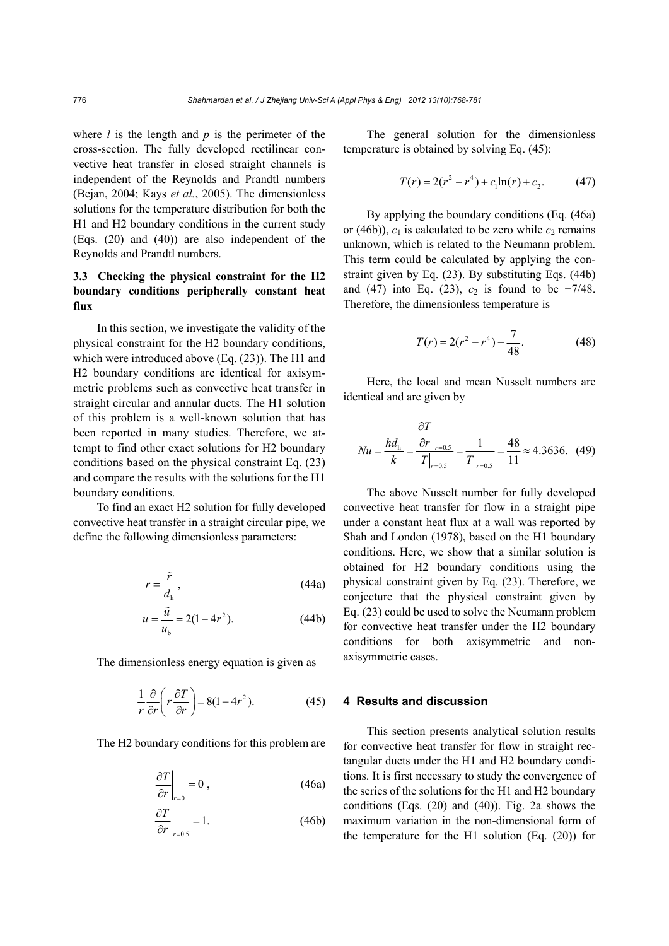where *l* is the length and *p* is the perimeter of the cross-section. The fully developed rectilinear convective heat transfer in closed straight channels is independent of the Reynolds and Prandtl numbers (Bejan, 2004; Kays *et al.*, 2005). The dimensionless solutions for the temperature distribution for both the H1 and H2 boundary conditions in the current study (Eqs. (20) and (40)) are also independent of the Reynolds and Prandtl numbers.

# **3.3 Checking the physical constraint for the H2 boundary conditions peripherally constant heat flux**

In this section, we investigate the validity of the physical constraint for the H2 boundary conditions, which were introduced above (Eq. (23)). The H1 and H2 boundary conditions are identical for axisymmetric problems such as convective heat transfer in straight circular and annular ducts. The H1 solution of this problem is a well-known solution that has been reported in many studies. Therefore, we attempt to find other exact solutions for H2 boundary conditions based on the physical constraint Eq. (23) and compare the results with the solutions for the H1 boundary conditions.

To find an exact H2 solution for fully developed convective heat transfer in a straight circular pipe, we define the following dimensionless parameters:

$$
r = \frac{\tilde{r}}{d_{\rm h}},\tag{44a}
$$

$$
u = \frac{\tilde{u}}{u_{b}} = 2(1 - 4r^{2}).
$$
 (44b)

The dimensionless energy equation is given as

$$
\frac{1}{r}\frac{\partial}{\partial r}\left(r\frac{\partial T}{\partial r}\right) = 8(1 - 4r^2). \tag{45}
$$

The H2 boundary conditions for this problem are

$$
\left. \frac{\partial T}{\partial r} \right|_{r=0} = 0 , \qquad (46a)
$$

$$
\left. \frac{\partial T}{\partial r} \right|_{r=0.5} = 1. \tag{46b}
$$

The general solution for the dimensionless temperature is obtained by solving Eq. (45):

$$
T(r) = 2(r2 - r4) + c1ln(r) + c2.
$$
 (47)

By applying the boundary conditions (Eq. (46a) or (46b)),  $c_1$  is calculated to be zero while  $c_2$  remains unknown, which is related to the Neumann problem. This term could be calculated by applying the constraint given by Eq. (23). By substituting Eqs. (44b) and (47) into Eq. (23),  $c_2$  is found to be  $-7/48$ . Therefore, the dimensionless temperature is

$$
T(r) = 2(r^2 - r^4) - \frac{7}{48}.
$$
 (48)

Here, the local and mean Nusselt numbers are identical and are given by

$$
Nu = \frac{hd_{\rm h}}{k} = \frac{\frac{\partial T}{\partial r}\bigg|_{r=0.5}}{T\bigg|_{r=0.5}} = \frac{1}{T\bigg|_{r=0.5}} = \frac{48}{11} \approx 4.3636. \tag{49}
$$

The above Nusselt number for fully developed convective heat transfer for flow in a straight pipe under a constant heat flux at a wall was reported by Shah and London (1978), based on the H1 boundary conditions. Here, we show that a similar solution is obtained for H2 boundary conditions using the physical constraint given by Eq. (23). Therefore, we conjecture that the physical constraint given by Eq. (23) could be used to solve the Neumann problem for convective heat transfer under the H2 boundary conditions for both axisymmetric and nonaxisymmetric cases.

#### **4 Results and discussion**

This section presents analytical solution results for convective heat transfer for flow in straight rectangular ducts under the H1 and H2 boundary conditions. It is first necessary to study the convergence of the series of the solutions for the H1 and H2 boundary conditions (Eqs. (20) and (40)). Fig. 2a shows the maximum variation in the non-dimensional form of the temperature for the H1 solution (Eq. (20)) for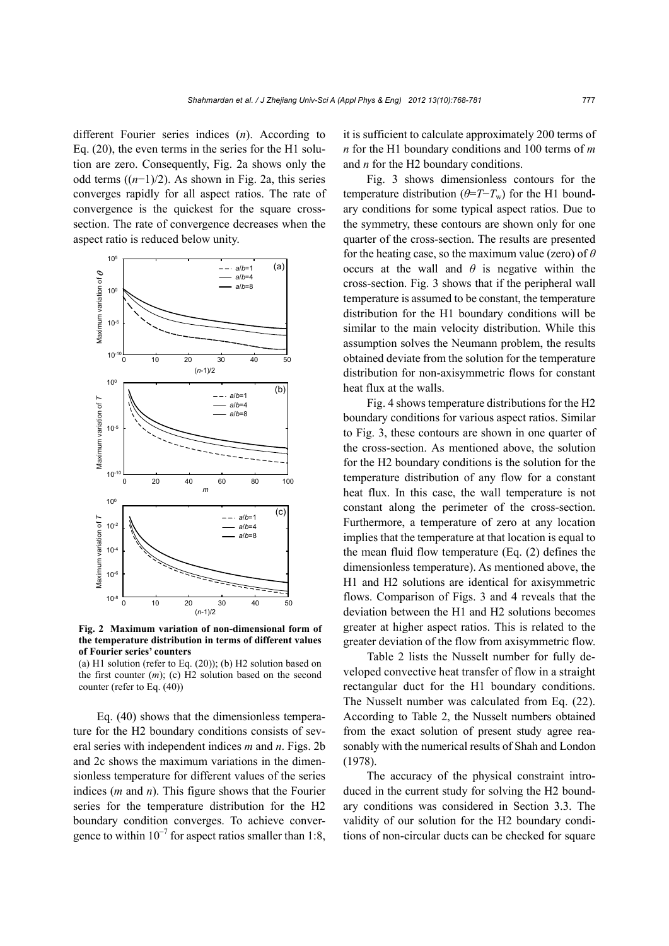different Fourier series indices (*n*). According to Eq. (20), the even terms in the series for the H1 solution are zero. Consequently, Fig. 2a shows only the odd terms ((*n*−1)/2). As shown in Fig. 2a, this series converges rapidly for all aspect ratios. The rate of convergence is the quickest for the square crosssection. The rate of convergence decreases when the aspect ratio is reduced below unity.



**Fig. 2 Maximum variation of non-dimensional form of the temperature distribution in terms of different values of Fourier series' counters** 

(a) H1 solution (refer to Eq.  $(20)$ ); (b) H2 solution based on the first counter (*m*); (c) H2 solution based on the second counter (refer to Eq. (40))

Eq. (40) shows that the dimensionless temperature for the H2 boundary conditions consists of several series with independent indices *m* and *n*. Figs. 2b and 2c shows the maximum variations in the dimensionless temperature for different values of the series indices (*m* and *n*). This figure shows that the Fourier series for the temperature distribution for the H2 boundary condition converges. To achieve convergence to within  $10^{-7}$  for aspect ratios smaller than 1:8, it is sufficient to calculate approximately 200 terms of *n* for the H1 boundary conditions and 100 terms of *m* and *n* for the H2 boundary conditions.

Fig. 3 shows dimensionless contours for the temperature distribution ( $\theta = T - T_w$ ) for the H1 boundary conditions for some typical aspect ratios. Due to the symmetry, these contours are shown only for one quarter of the cross-section. The results are presented for the heating case, so the maximum value (zero) of *θ* occurs at the wall and  $\theta$  is negative within the cross-section. Fig. 3 shows that if the peripheral wall temperature is assumed to be constant, the temperature distribution for the H1 boundary conditions will be similar to the main velocity distribution. While this assumption solves the Neumann problem, the results obtained deviate from the solution for the temperature distribution for non-axisymmetric flows for constant heat flux at the walls.

Fig. 4 shows temperature distributions for the H2 boundary conditions for various aspect ratios. Similar to Fig. 3, these contours are shown in one quarter of the cross-section. As mentioned above, the solution for the H2 boundary conditions is the solution for the temperature distribution of any flow for a constant heat flux. In this case, the wall temperature is not constant along the perimeter of the cross-section. Furthermore, a temperature of zero at any location implies that the temperature at that location is equal to the mean fluid flow temperature (Eq. (2) defines the dimensionless temperature). As mentioned above, the H1 and H2 solutions are identical for axisymmetric flows. Comparison of Figs. 3 and 4 reveals that the deviation between the H1 and H2 solutions becomes greater at higher aspect ratios. This is related to the greater deviation of the flow from axisymmetric flow.

Table 2 lists the Nusselt number for fully developed convective heat transfer of flow in a straight rectangular duct for the H1 boundary conditions. The Nusselt number was calculated from Eq. (22). According to Table 2, the Nusselt numbers obtained from the exact solution of present study agree reasonably with the numerical results of Shah and London (1978).

 The accuracy of the physical constraint introduced in the current study for solving the H2 boundary conditions was considered in Section 3.3. The validity of our solution for the H2 boundary conditions of non-circular ducts can be checked for square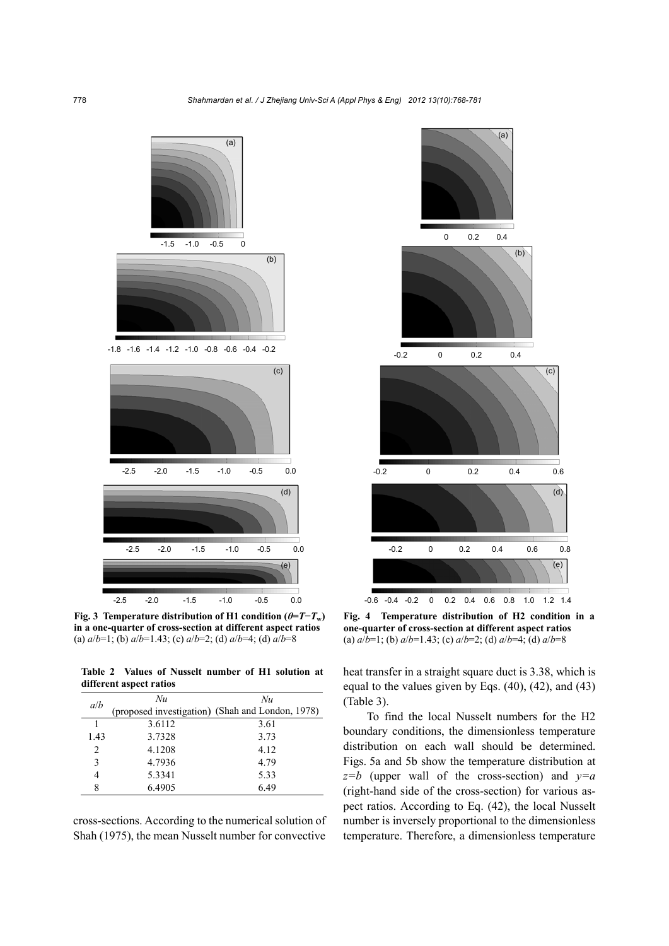

**Fig. 3 Temperature distribution of H1 condition (** $\theta$ **=T−T<sub>w</sub>) in a one-quarter of cross-section at different aspect ratios**  (a) *a*/*b*=1; (b) *a*/*b*=1.43; (c) *a*/*b*=2; (d) *a*/*b*=4; (d) *a*/*b*=8

**Table 2 Values of Nusselt number of H1 solution at different aspect ratios**

| a/b  | Nu     | Nu                                               |  |
|------|--------|--------------------------------------------------|--|
|      |        | (proposed investigation) (Shah and London, 1978) |  |
|      | 3.6112 | 3.61                                             |  |
| 1.43 | 3.7328 | 3.73                                             |  |
| 2    | 4.1208 | 4.12                                             |  |
| 3    | 4.7936 | 4.79                                             |  |
| 4    | 5.3341 | 5.33                                             |  |
| 8    | 6.4905 | 6.49                                             |  |

cross-sections. According to the numerical solution of Shah (1975), the mean Nusselt number for convective



**Fig. 4 Temperature distribution of H2 condition in a one-quarter of cross-section at different aspect ratios**  (a) *a*/*b*=1; (b) *a*/*b*=1.43; (c) *a*/*b*=2; (d) *a*/*b*=4; (d) *a*/*b*=8

heat transfer in a straight square duct is 3.38, which is equal to the values given by Eqs. (40), (42), and (43) (Table 3).

To find the local Nusselt numbers for the H2 boundary conditions, the dimensionless temperature distribution on each wall should be determined. Figs. 5a and 5b show the temperature distribution at *z=b* (upper wall of the cross-section) and *y=a* (right-hand side of the cross-section) for various aspect ratios. According to Eq. (42), the local Nusselt number is inversely proportional to the dimensionless temperature. Therefore, a dimensionless temperature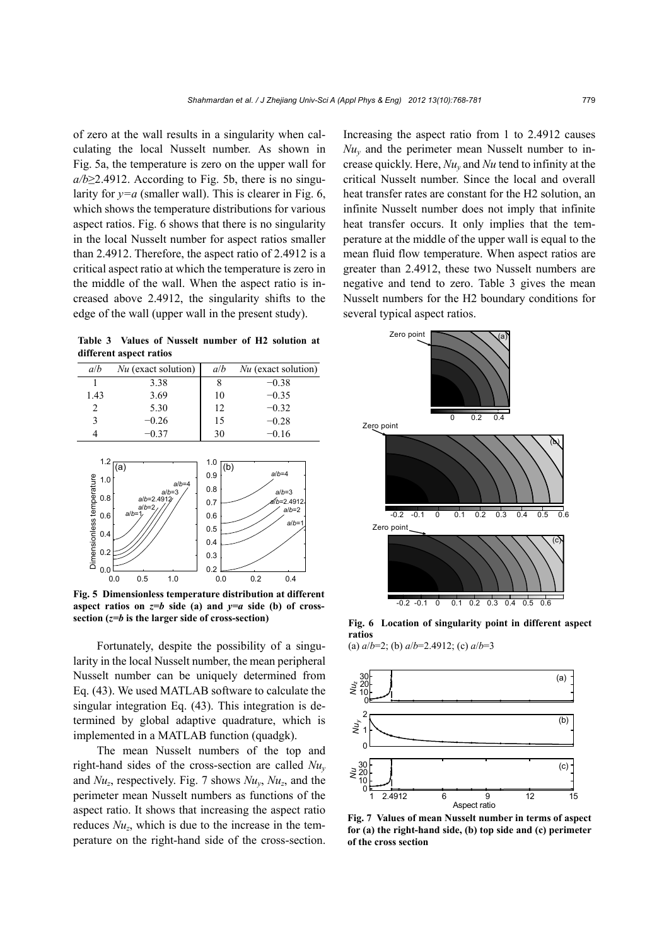of zero at the wall results in a singularity when calculating the local Nusselt number. As shown in Fig. 5a, the temperature is zero on the upper wall for  $a/b \geq 2.4912$ . According to Fig. 5b, there is no singularity for  $y=a$  (smaller wall). This is clearer in Fig. 6, which shows the temperature distributions for various aspect ratios. Fig. 6 shows that there is no singularity in the local Nusselt number for aspect ratios smaller than 2.4912. Therefore, the aspect ratio of 2.4912 is a critical aspect ratio at which the temperature is zero in the middle of the wall. When the aspect ratio is increased above 2.4912, the singularity shifts to the edge of the wall (upper wall in the present study).

**Table 3 Values of Nusselt number of H2 solution at different aspect ratios**

| a/b           | $Nu$ (exact solution) | a/b | $Nu$ (exact solution) |
|---------------|-----------------------|-----|-----------------------|
|               | 3.38                  |     | $-0.38$               |
| 1.43          | 3.69                  | 10  | $-0.35$               |
| $\mathcal{D}$ | 5.30                  | 12  | $-0.32$               |
| $\mathbf{R}$  | $-0.26$               | 15  | $-0.28$               |
|               | -0 37                 | 30  | $-0.16$               |



**Fig. 5 Dimensionless temperature distribution at different**  aspect ratios on  $z=b$  side (a) and  $y=a$  side (b) of cross-

Fortunately, despite the possibility of a singularity in the local Nusselt number, the mean peripheral Nusselt number can be uniquely determined from Eq. (43). We used MATLAB software to calculate the singular integration Eq. (43). This integration is determined by global adaptive quadrature, which is implemented in a MATLAB function (quadgk).

The mean Nusselt numbers of the top and right-hand sides of the cross-section are called *Nuy* and *Nuz*, respectively. Fig. 7 shows *Nuy*, *Nuz*, and the perimeter mean Nusselt numbers as functions of the aspect ratio. It shows that increasing the aspect ratio reduces *Nuz*, which is due to the increase in the temperature on the right-hand side of the cross-section. Increasing the aspect ratio from 1 to 2.4912 causes  $Nu<sub>v</sub>$  and the perimeter mean Nusselt number to increase quickly. Here, *Nuy* and *Nu* tend to infinity at the critical Nusselt number. Since the local and overall heat transfer rates are constant for the H2 solution, an infinite Nusselt number does not imply that infinite heat transfer occurs. It only implies that the temperature at the middle of the upper wall is equal to the mean fluid flow temperature. When aspect ratios are greater than 2.4912, these two Nusselt numbers are negative and tend to zero. Table 3 gives the mean Nusselt numbers for the H2 boundary conditions for several typical aspect ratios.



**Fig. 6 Location of singularity point in different aspect ratios** 

(a) *a*/*b*=2; (b) *a*/*b*=2.4912; (c) *a*/*b*=3



**Fig. 7 Values of mean Nusselt number in terms of aspect for (a) the right-hand side, (b) top side and (c) perimeter of the cross section**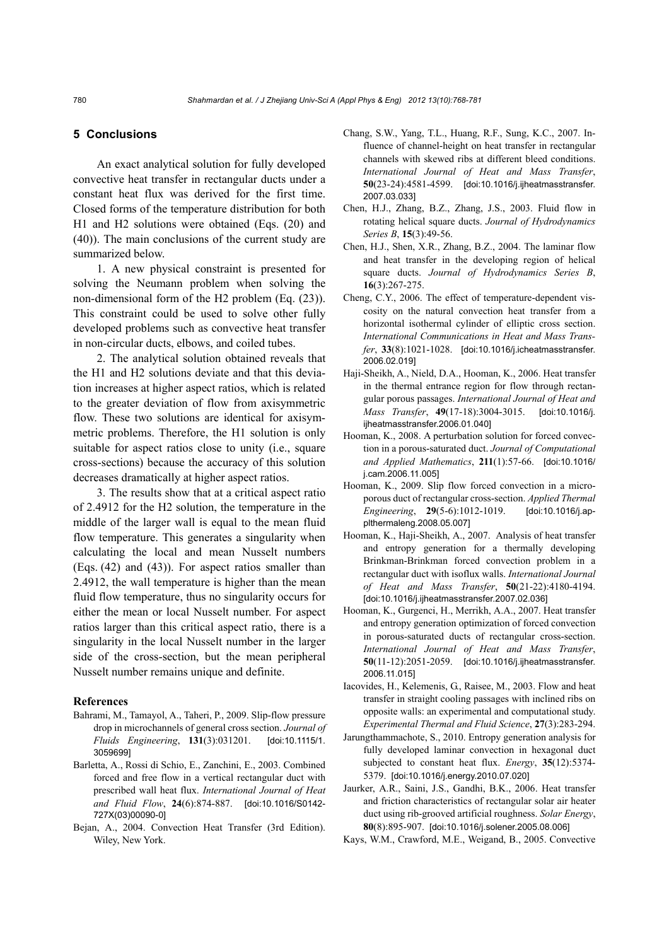### **5 Conclusions**

An exact analytical solution for fully developed convective heat transfer in rectangular ducts under a constant heat flux was derived for the first time. Closed forms of the temperature distribution for both H1 and H2 solutions were obtained (Eqs. (20) and (40)). The main conclusions of the current study are summarized below.

1. A new physical constraint is presented for solving the Neumann problem when solving the non-dimensional form of the H2 problem (Eq. (23)). This constraint could be used to solve other fully developed problems such as convective heat transfer in non-circular ducts, elbows, and coiled tubes.

2. The analytical solution obtained reveals that the H1 and H2 solutions deviate and that this deviation increases at higher aspect ratios, which is related to the greater deviation of flow from axisymmetric flow. These two solutions are identical for axisymmetric problems. Therefore, the H1 solution is only suitable for aspect ratios close to unity (i.e., square cross-sections) because the accuracy of this solution decreases dramatically at higher aspect ratios.

3. The results show that at a critical aspect ratio of 2.4912 for the H2 solution, the temperature in the middle of the larger wall is equal to the mean fluid flow temperature. This generates a singularity when calculating the local and mean Nusselt numbers (Eqs. (42) and (43)). For aspect ratios smaller than 2.4912, the wall temperature is higher than the mean fluid flow temperature, thus no singularity occurs for either the mean or local Nusselt number. For aspect ratios larger than this critical aspect ratio, there is a singularity in the local Nusselt number in the larger side of the cross-section, but the mean peripheral Nusselt number remains unique and definite.

#### **References**

- Bahrami, M., Tamayol, A., Taheri, P., 2009. Slip-flow pressure drop in microchannels of general cross section. *Journal of Fluids Engineering*, **131**(3):031201. [doi:10.1115/1. 3059699]
- Barletta, A., Rossi di Schio, E., Zanchini, E., 2003. Combined forced and free flow in a vertical rectangular duct with prescribed wall heat flux. *International Journal of Heat and Fluid Flow*, **24**(6):874-887. [doi:10.1016/S0142- 727X(03)00090-0]
- Bejan, A., 2004. Convection Heat Transfer (3rd Edition). Wiley, New York.
- Chang, S.W., Yang, T.L., Huang, R.F., Sung, K.C., 2007. Influence of channel-height on heat transfer in rectangular channels with skewed ribs at different bleed conditions. *International Journal of Heat and Mass Transfer*, **50**(23-24):4581-4599. [doi:10.1016/j.ijheatmasstransfer. 2007.03.033]
- Chen, H.J., Zhang, B.Z., Zhang, J.S., 2003. Fluid flow in rotating helical square ducts. *Journal of Hydrodynamics Series B*, **15**(3):49-56.
- Chen, H.J., Shen, X.R., Zhang, B.Z., 2004. The laminar flow and heat transfer in the developing region of helical square ducts. *Journal of Hydrodynamics Series B*, **16**(3):267-275.
- Cheng, C.Y., 2006. The effect of temperature-dependent viscosity on the natural convection heat transfer from a horizontal isothermal cylinder of elliptic cross section. *International Communications in Heat and Mass Transfer*, **33**(8):1021-1028. [doi:10.1016/j.icheatmasstransfer. 2006.02.019]
- Haji-Sheikh, A., Nield, D.A., Hooman, K., 2006. Heat transfer in the thermal entrance region for flow through rectangular porous passages. *International Journal of Heat and Mass Transfer*, **49**(17-18):3004-3015. [doi:10.1016/j. ijheatmasstransfer.2006.01.040]
- Hooman, K., 2008. A perturbation solution for forced convection in a porous-saturated duct. *Journal of Computational and Applied Mathematics*, **211**(1):57-66. [doi:10.1016/ j.cam.2006.11.005]
- Hooman, K., 2009. Slip flow forced convection in a microporous duct of rectangular cross-section. *Applied Thermal Engineering*, **29**(5-6):1012-1019. [doi:10.1016/j.applthermaleng.2008.05.007]
- Hooman, K., Haji-Sheikh, A., 2007. Analysis of heat transfer and entropy generation for a thermally developing Brinkman-Brinkman forced convection problem in a rectangular duct with isoflux walls. *International Journal of Heat and Mass Transfer*, **50**(21-22):4180-4194. [doi:10.1016/j.ijheatmasstransfer.2007.02.036]
- Hooman, K., Gurgenci, H., Merrikh, A.A., 2007. Heat transfer and entropy generation optimization of forced convection in porous-saturated ducts of rectangular cross-section. *International Journal of Heat and Mass Transfer*, **50**(11-12):2051-2059. [doi:10.1016/j.ijheatmasstransfer. 2006.11.015]
- Iacovides, H., Kelemenis, G., Raisee, M., 2003. Flow and heat transfer in straight cooling passages with inclined ribs on opposite walls: an experimental and computational study. *Experimental Thermal and Fluid Science*, **27**(3):283-294.
- Jarungthammachote, S., 2010. Entropy generation analysis for fully developed laminar convection in hexagonal duct subjected to constant heat flux. *Energy*, **35**(12):5374- 5379. [doi:10.1016/j.energy.2010.07.020]
- Jaurker, A.R., Saini, J.S., Gandhi, B.K., 2006. Heat transfer and friction characteristics of rectangular solar air heater duct using rib-grooved artificial roughness. *Solar Energy*, **80**(8):895-907. [doi:10.1016/j.solener.2005.08.006]
- Kays, W.M., Crawford, M.E., Weigand, B., 2005. Convective